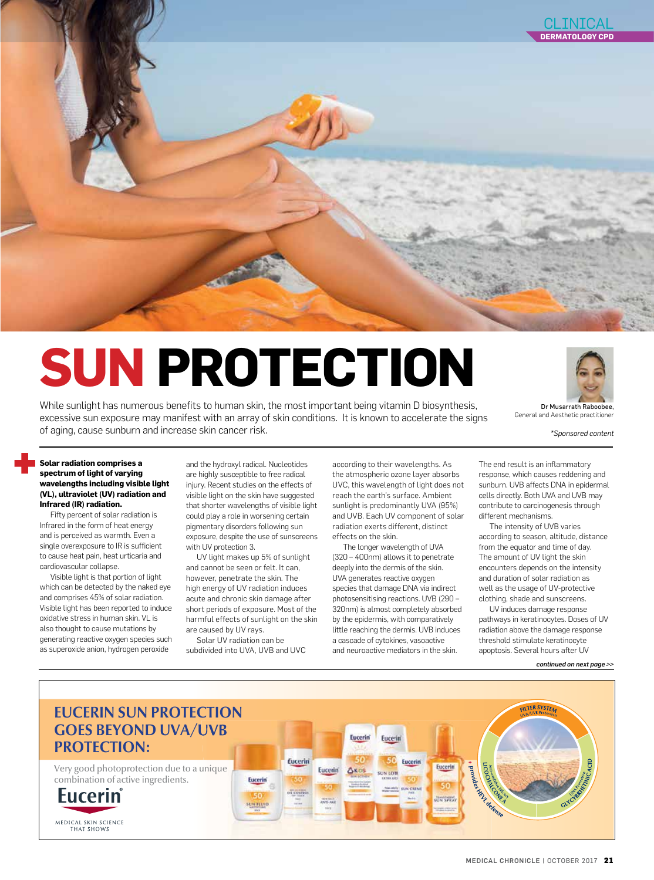

# **SUN PROTECTION**

While sunlight has numerous benefits to human skin, the most important being vitamin D biosynthesis, excessive sun exposure may manifest with an array of skin conditions. It is known to accelerate the signs of aging, cause sunburn and increase skin cancer risk.



General and Aesthetic practitioner

*\*Sponsored content*

#### **Solar radiation comprises a spectrum of light of varying wavelengths including visible light (VL), ultraviolet (UV) radiation and Infrared (IR) radiation.**

Fifty percent of solar radiation is Infrared in the form of heat energy and is perceived as warmth. Even a single overexposure to IR is sufficient to cause heat pain, heat urticaria and cardiovascular collapse.

Visible light is that portion of light which can be detected by the naked eye and comprises 45% of solar radiation. Visible light has been reported to induce oxidative stress in human skin. VL is also thought to cause mutations by generating reactive oxygen species such as superoxide anion, hydrogen peroxide

and the hydroxyl radical. Nucleotides are highly susceptible to free radical injury. Recent studies on the effects of visible light on the skin have suggested that shorter wavelengths of visible light could play a role in worsening certain pigmentary disorders following sun exposure, despite the use of sunscreens with UV protection 3.

UV light makes up 5% of sunlight and cannot be seen or felt. It can, however, penetrate the skin. The high energy of UV radiation induces acute and chronic skin damage after short periods of exposure. Most of the harmful effects of sunlight on the skin are caused by UV rays.

Solar UV radiation can be subdivided into UVA, UVB and UVC

Eucerin

**SUNTLUID** 

according to their wavelengths. As the atmospheric ozone layer absorbs UVC, this wavelength of light does not reach the earth's surface. Ambient sunlight is predominantly UVA (95%) and UVB. Each UV component of solar radiation exerts different, distinct effects on the skin.

The longer wavelength of UVA (320 – 400nm) allows it to penetrate deeply into the dermis of the skin. UVA generates reactive oxygen species that damage DNA via indirect photosensitising reactions. UVB (290 – 320nm) is almost completely absorbed by the epidermis, with comparatively little reaching the dermis. UVB induces a cascade of cytokines, vasoactive and neuroactive mediators in the skin.

Eucerin

**AKO** 

Eucerin

Eucerin

Eucerin

**CON LOT** 

Eucerin

Eucerin

**FEASINGSHEET** 

The end result is an inflammatory response, which causes reddening and sunburn. UVB affects DNA in epidermal cells directly. Both UVA and UVB may contribute to carcinogenesis through different mechanisms.

The intensity of UVB varies according to season, altitude, distance from the equator and time of day. The amount of UV light the skin encounters depends on the intensity and duration of solar radiation as well as the usage of UV-protective clothing, shade and sunscreens.

UV induces damage response pathways in keratinocytes. Doses of UV radiation above the damage response threshold stimulate keratinocyte apoptosis. Several hours after UV

**FILTER SYSTEA** 

*continued on next page >>* 

## **EUCERIN SUN PROTECTION GOES BEYOND UVA/UVB PROTECTION:**

Very good photoprotection due to a unique combination of active ingredients.

Eucerin

MEDICAL SKIN SCIENCE **THAT SHOWS** 

**Tripodice RKW ASS READ**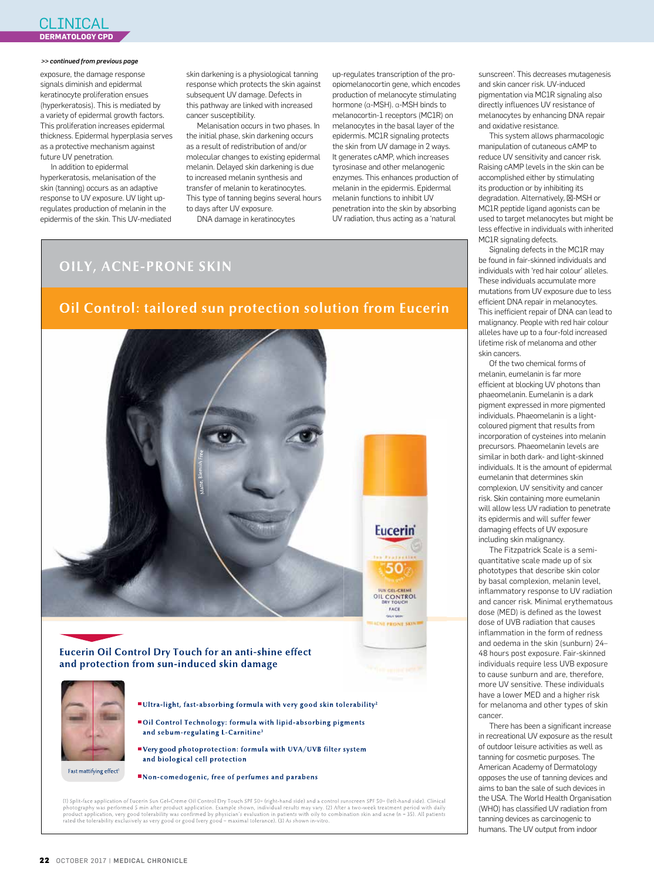## CLINICAL **DERMATOLOGY CPD**

#### *>> continued from previous page*

exposure, the damage response signals diminish and epidermal keratinocyte proliferation ensues (hyperkeratosis). This is mediated by a variety of epidermal growth factors. This proliferation increases epidermal thickness. Epidermal hyperplasia serves as a protective mechanism against future UV penetration.

In addition to epidermal hyperkeratosis, melanisation of the skin (tanning) occurs as an adaptive response to UV exposure. UV light upregulates production of melanin in the epidermis of the skin. This UV-mediated skin darkening is a physiological tanning response which protects the skin against subsequent UV damage. Defects in this pathway are linked with increased cancer susceptibility.

Melanisation occurs in two phases. In the initial phase, skin darkening occurs as a result of redistribution of and/or molecular changes to existing epidermal melanin. Delayed skin darkening is due to increased melanin synthesis and transfer of melanin to keratinocytes. This type of tanning begins several hours to days after UV exposure.

DNA damage in keratinocytes

up-regulates transcription of the proopiomelanocortin gene, which encodes production of melanocyte stimulating hormone (α-MSH). α-MSH binds to melanocortin-1 receptors (MC1R) on melanocytes in the basal layer of the epidermis. MC1R signaling protects the skin from UV damage in 2 ways. It generates cAMP, which increases tyrosinase and other melanogenic enzymes. This enhances production of melanin in the epidermis. Epidermal melanin functions to inhibit UV penetration into the skin by absorbing UV radiation, thus acting as a 'natural

**OILY, ACNE-PRONE SKIN** 

## Oil Control: tailored sun protection solution from Eucerin



**Eucerin Oil Control Dry Touch for an anti-shine effect** and protection from sun-induced skin damage

- Ultra-light, fast-absorbing formula with very good skin tolerability<sup>2</sup>
- Oil Control Technology: formula with lipid-absorbing pigments and sebum-regulating L-Carnitine<sup>3</sup>
- "Very good photoprotection: formula with UVA/UVB filter system and biological cell protection
- Non-comedogenic, free of perfumes and parabens

(1) Split-face application of Eucerin Sun Gel-Creme Oil Control Dry Touch SPF 50+ (right-hand side) and a control sunscreen SPF 50+ (left-hand side). Clinical photography was performed 5 min after product application. Exa

sunscreen'. This decreases mutagenesis and skin cancer risk. UV-induced pigmentation via MC1R signaling also directly influences UV resistance of melanocytes by enhancing DNA repair and oxidative resistance.

This system allows pharmacologic manipulation of cutaneous cAMP to reduce UV sensitivity and cancer risk. Raising cAMP levels in the skin can be accomplished either by stimulating its production or by inhibiting its degradation. Alternatively, -MSH or MC1R peptide ligand agonists can be used to target melanocytes but might be less effective in individuals with inherited MC1R signaling defects.

Signaling defects in the MC1R may be found in fair-skinned individuals and individuals with 'red hair colour' alleles. These individuals accumulate more mutations from UV exposure due to less efficient DNA repair in melanocytes. This inefficient repair of DNA can lead to malignancy. People with red hair colour alleles have up to a four-fold increased lifetime risk of melanoma and other skin cancers.

Of the two chemical forms of melanin, eumelanin is far more efficient at blocking UV photons than phaeomelanin. Eumelanin is a dark pigment expressed in more pigmented individuals. Phaeomelanin is a lightcoloured pigment that results from incorporation of cysteines into melanin precursors. Phaeomelanin levels are similar in both dark- and light-skinned individuals. It is the amount of epidermal eumelanin that determines skin complexion, UV sensitivity and cancer risk. Skin containing more eumelanin will allow less UV radiation to penetrate its epidermis and will suffer fewer damaging effects of UV exposure including skin malignancy.

The Fitzpatrick Scale is a semiquantitative scale made up of six phototypes that describe skin color by basal complexion, melanin level, inflammatory response to UV radiation and cancer risk. Minimal erythematous dose (MED) is defined as the lowest dose of UVB radiation that causes inflammation in the form of redness and oedema in the skin (sunburn) 24– 48 hours post exposure. Fair-skinned individuals require less UVB exposure to cause sunburn and are, therefore, more UV sensitive. These individuals have a lower MED and a higher risk for melanoma and other types of skin cancer.

There has been a significant increase in recreational UV exposure as the result of outdoor leisure activities as well as tanning for cosmetic purposes. The American Academy of Dermatology opposes the use of tanning devices and aims to ban the sale of such devices in the USA. The World Health Organisation (WHO) has classified UV radiation from tanning devices as carcinogenic to humans. The UV output from indoor

Fast mattifying effect<sup>1</sup>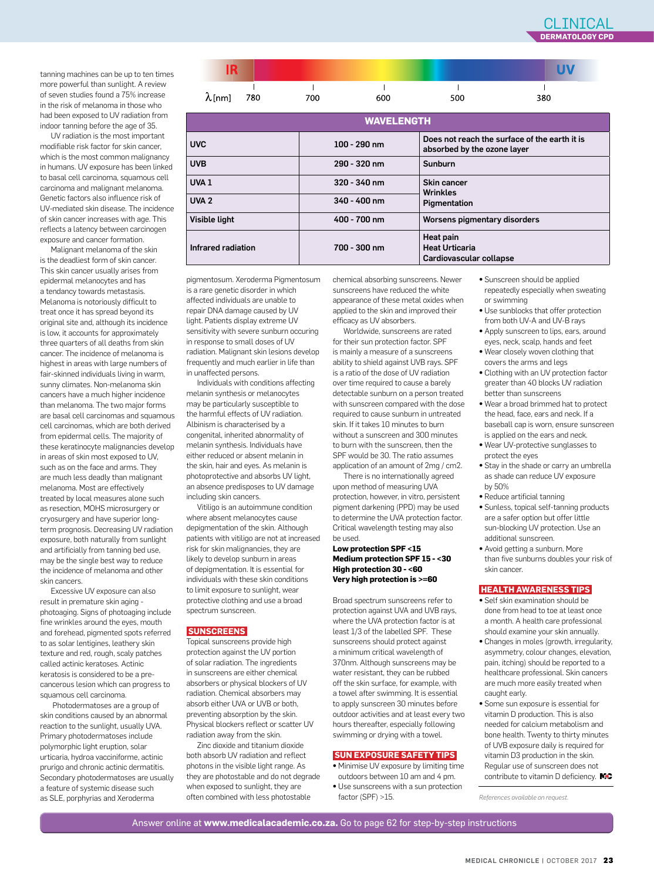**UV** 

 $\mathbf{I}$ 

380

tanning machines can be up to ten times more powerful than sunlight. A review of seven studies found a 75% increase in the risk of melanoma in those who had been exposed to UV radiation from indoor tanning before the age of 35.

UV radiation is the most important modifiable risk factor for skin cancer, which is the most common malignancy in humans. UV exposure has been linked to basal cell carcinoma, squamous cell carcinoma and malignant melanoma. Genetic factors also influence risk of UV-mediated skin disease. The incidence of skin cancer increases with age. This reflects a latency between carcinogen exposure and cancer formation.

Malignant melanoma of the skin is the deadliest form of skin cancer. This skin cancer usually arises from epidermal melanocytes and has a tendancy towards metastasis. Melanoma is notoriously difficult to treat once it has spread beyond its original site and, although its incidence is low, it accounts for approximately three quarters of all deaths from skin cancer. The incidence of melanoma is highest in areas with large numbers of fair-skinned individuals living in warm, sunny climates. Non-melanoma skin cancers have a much higher incidence than melanoma. The two major forms are basal cell carcinomas and squamous cell carcinomas, which are both derived from epidermal cells. The majority of these keratinocyte malignancies develop in areas of skin most exposed to UV, such as on the face and arms. They are much less deadly than malignant melanoma. Most are effectively treated by local measures alone such as resection, MOHS microsurgery or cryosurgery and have superior longterm prognosis. Decreasing UV radiation exposure, both naturally from sunlight and artificially from tanning bed use, may be the single best way to reduce the incidence of melanoma and other skin cancers.

Excessive UV exposure can also result in premature skin aging photoaging. Signs of photoaging include fine wrinkles around the eyes, mouth and forehead, pigmented spots referred to as solar lentigines, leathery skin texture and red, rough, scaly patches called actinic keratoses. Actinic keratosis is considered to be a precancerous lesion which can progress to squamous cell carcinoma.

 Photodermatoses are a group of skin conditions caused by an abnormal reaction to the sunlight, usually UVA. Primary photodermatoses include polymorphic light eruption, solar urticaria, hydroa vacciniforme, actinic prurigo and chronic actinic dermatitis. Secondary photodermatoses are usually a feature of systemic disease such as SLE, porphyrias and Xeroderma

pigmentosum. Xeroderma Pigmentosum is a rare genetic disorder in which affected individuals are unable to repair DNA damage caused by UV light. Patients display extreme UV sensitivity with severe sunburn occuring in response to small doses of UV radiation. Malignant skin lesions develop frequently and much earlier in life than in unaffected persons.

IR

 $\lambda$  [nm]

 $\mathbf{I}$ 

780

Infrared radiation 700 - 300 nm

Individuals with conditions affecting melanin synthesis or melanocytes may be particularly susceptible to the harmful effects of UV radiation. Albinism is characterised by a congenital, inherited abnormality of melanin synthesis. Individuals have either reduced or absent melanin in the skin, hair and eyes. As melanin is photoprotective and absorbs UV light, an absence predisposes to UV damage including skin cancers.

Vitiligo is an autoimmune condition where absent melanocytes cause depigmentation of the skin. Although patients with vitiligo are not at increased risk for skin malignancies, they are likely to develop sunburn in areas of depigmentation. It is essential for individuals with these skin conditions to limit exposure to sunlight, wear protective clothing and use a broad spectrum sunscreen.

#### **SUNSCREENS**

Topical sunscreens provide high protection against the UV portion of solar radiation. The ingredients in sunscreens are either chemical absorbers or physical blockers of UV radiation. Chemical absorbers may absorb either UVA or UVB or both, preventing absorption by the skin. Physical blockers reflect or scatter UV radiation away from the skin.

Zinc dioxide and titanium dioxide both absorb UV radiation and reflect photons in the visible light range. As they are photostable and do not degrade when exposed to sunlight, they are often combined with less photostable

chemical absorbing sunscreens. Newer sunscreens have reduced the white appearance of these metal oxides when applied to the skin and improved their efficacy as UV absorbers.

**WAVELENGTH**

absorbed by the ozone layer

 $\overline{1}$ 

500

Cardiovascular collapse

Wrinkles

Heat pain Heat Urticaria

UVC 100 - 290 nm Does not reach the surface of the earth it is

 $\mathbf{I}$ 

600

UVB 290 - 320 nm Sunburn

 $\blacksquare$ 

700

UVA 1 320 - 340 nm Skin cancer

UVA 2 340 - 400 nm Pigmentation

Visible light **400 - 700 nm** Worsens pigmentary disorders

Worldwide, sunscreens are rated for their sun protection factor. SPF is mainly a measure of a sunscreens ability to shield against UVB rays. SPF is a ratio of the dose of UV radiation over time required to cause a barely detectable sunburn on a person treated with sunscreen compared with the dose required to cause sunburn in untreated skin. If it takes 10 minutes to burn without a sunscreen and 300 minutes to burn with the sunscreen, then the SPF would be 30. The ratio assumes application of an amount of 2mg / cm2. There is no internationally agreed

upon method of measuring UVA protection, however, in vitro, persistent pigment darkening (PPD) may be used to determine the UVA protection factor. Critical wavelength testing may also be used.

#### **Low protection SPF <15 Medium protection SPF 15 - <30 High protection 30 - <60 Very high protection is >=60**

Broad spectrum sunscreens refer to protection against UVA and UVB rays, where the UVA protection factor is at least 1/3 of the labelled SPF. These sunscreens should protect against a minimum critical wavelength of 370nm. Although sunscreens may be water resistant, they can be rubbed off the skin surface, for example, with a towel after swimming. It is essential to apply sunscreen 30 minutes before outdoor activities and at least every two hours thereafter, especially following swimming or drying with a towel.

### **SUN EXPOSURE SAFETY TIPS**

- **•** Minimise UV exposure by limiting time outdoors between 10 am and 4 pm.
- **•** Use sunscreens with a sun protection factor (SPF) >15.
- **•** Sunscreen should be applied repeatedly especially when sweating or swimming
- **•** Use sunblocks that offer protection from both UV-A and UV-B rays
- **•** Apply sunscreen to lips, ears, around eyes, neck, scalp, hands and feet
- **•** Wear closely woven clothing that covers the arms and legs
- **•** Clothing with an UV protection factor greater than 40 blocks UV radiation better than sunscreens
- **•** Wear a broad brimmed hat to protect the head, face, ears and neck. If a baseball cap is worn, ensure sunscreen is applied on the ears and neck.
- **•** Wear UV-protective sunglasses to protect the eyes
- **•** Stay in the shade or carry an umbrella as shade can reduce UV exposure by 50%
- **•** Reduce artificial tanning
- **•** Sunless, topical self-tanning products are a safer option but offer little sun-blocking UV protection. Use an additional sunscreen.
- **•** Avoid getting a sunburn. More than five sunburns doubles your risk of skin cancer.

### **HEALTH AWARENESS TIPS**

- **•** Self skin examination should be done from head to toe at least once a month. A health care professional should examine your skin annually.
- **•** Changes in moles (growth, irregularity, asymmetry, colour changes, elevation, pain, itching) should be reported to a healthcare professional. Skin cancers are much more easily treated when caught early.
- **•** Some sun exposure is essential for vitamin D production. This is also needed for calcium metabolism and bone health. Twenty to thirty minutes of UVB exposure daily is required for vitamin D3 production in the skin. Regular use of sunscreen does not contribute to vitamin D deficiency. MC

*References available on request.*